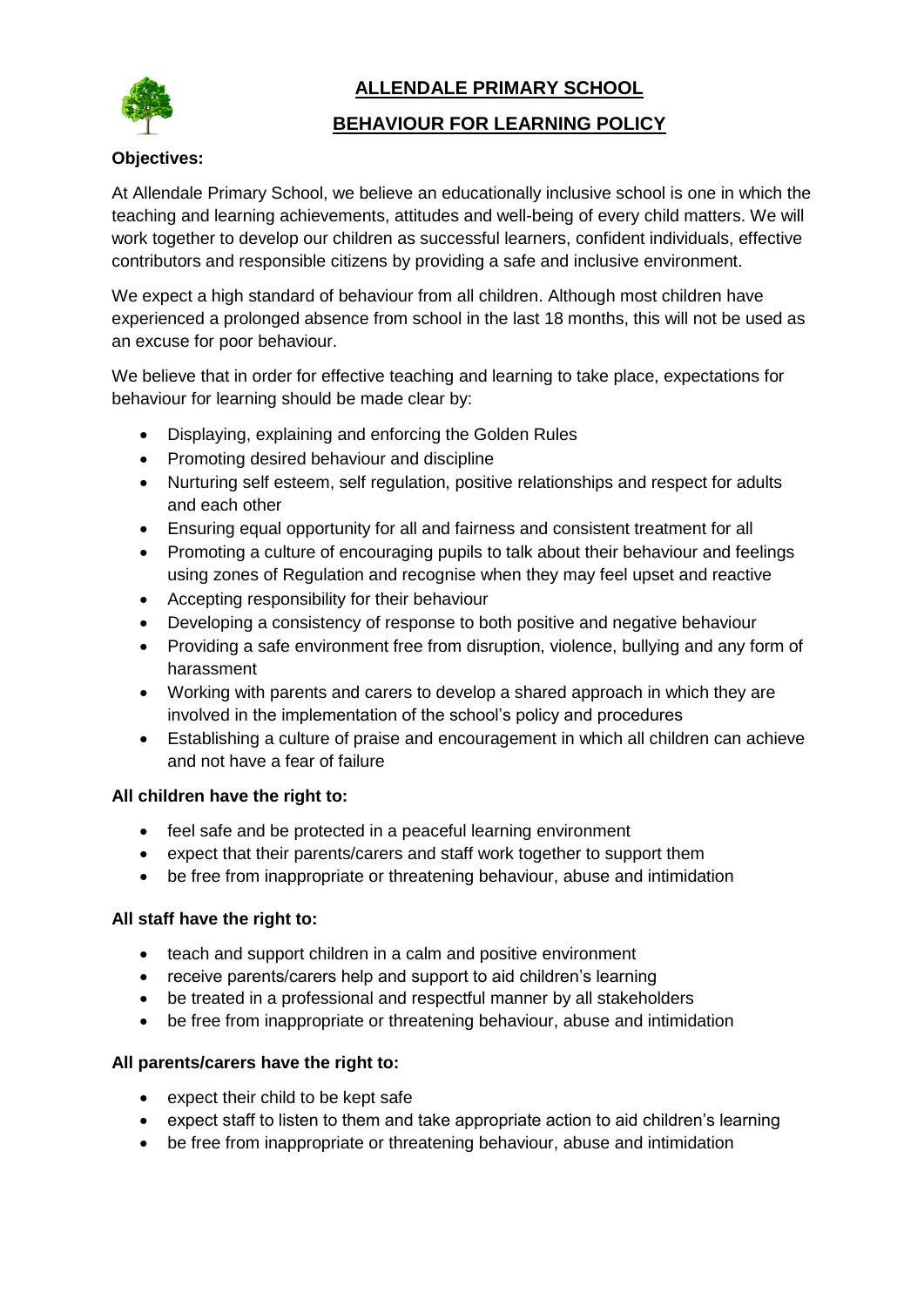

# **ALLENDALE PRIMARY SCHOOL**

## **BEHAVIOUR FOR LEARNING POLICY**

### **Objectives:**

At Allendale Primary School, we believe an educationally inclusive school is one in which the teaching and learning achievements, attitudes and well-being of every child matters. We will work together to develop our children as successful learners, confident individuals, effective contributors and responsible citizens by providing a safe and inclusive environment.

We expect a high standard of behaviour from all children. Although most children have experienced a prolonged absence from school in the last 18 months, this will not be used as an excuse for poor behaviour.

We believe that in order for effective teaching and learning to take place, expectations for behaviour for learning should be made clear by:

- Displaying, explaining and enforcing the Golden Rules
- Promoting desired behaviour and discipline
- Nurturing self esteem, self regulation, positive relationships and respect for adults and each other
- Ensuring equal opportunity for all and fairness and consistent treatment for all
- Promoting a culture of encouraging pupils to talk about their behaviour and feelings using zones of Regulation and recognise when they may feel upset and reactive
- Accepting responsibility for their behaviour
- Developing a consistency of response to both positive and negative behaviour
- Providing a safe environment free from disruption, violence, bullying and any form of harassment
- Working with parents and carers to develop a shared approach in which they are involved in the implementation of the school's policy and procedures
- Establishing a culture of praise and encouragement in which all children can achieve and not have a fear of failure

#### **All children have the right to:**

- feel safe and be protected in a peaceful learning environment
- expect that their parents/carers and staff work together to support them
- be free from inappropriate or threatening behaviour, abuse and intimidation

#### **All staff have the right to:**

- teach and support children in a calm and positive environment
- receive parents/carers help and support to aid children's learning
- be treated in a professional and respectful manner by all stakeholders
- be free from inappropriate or threatening behaviour, abuse and intimidation

#### **All parents/carers have the right to:**

- expect their child to be kept safe
- expect staff to listen to them and take appropriate action to aid children's learning
- be free from inappropriate or threatening behaviour, abuse and intimidation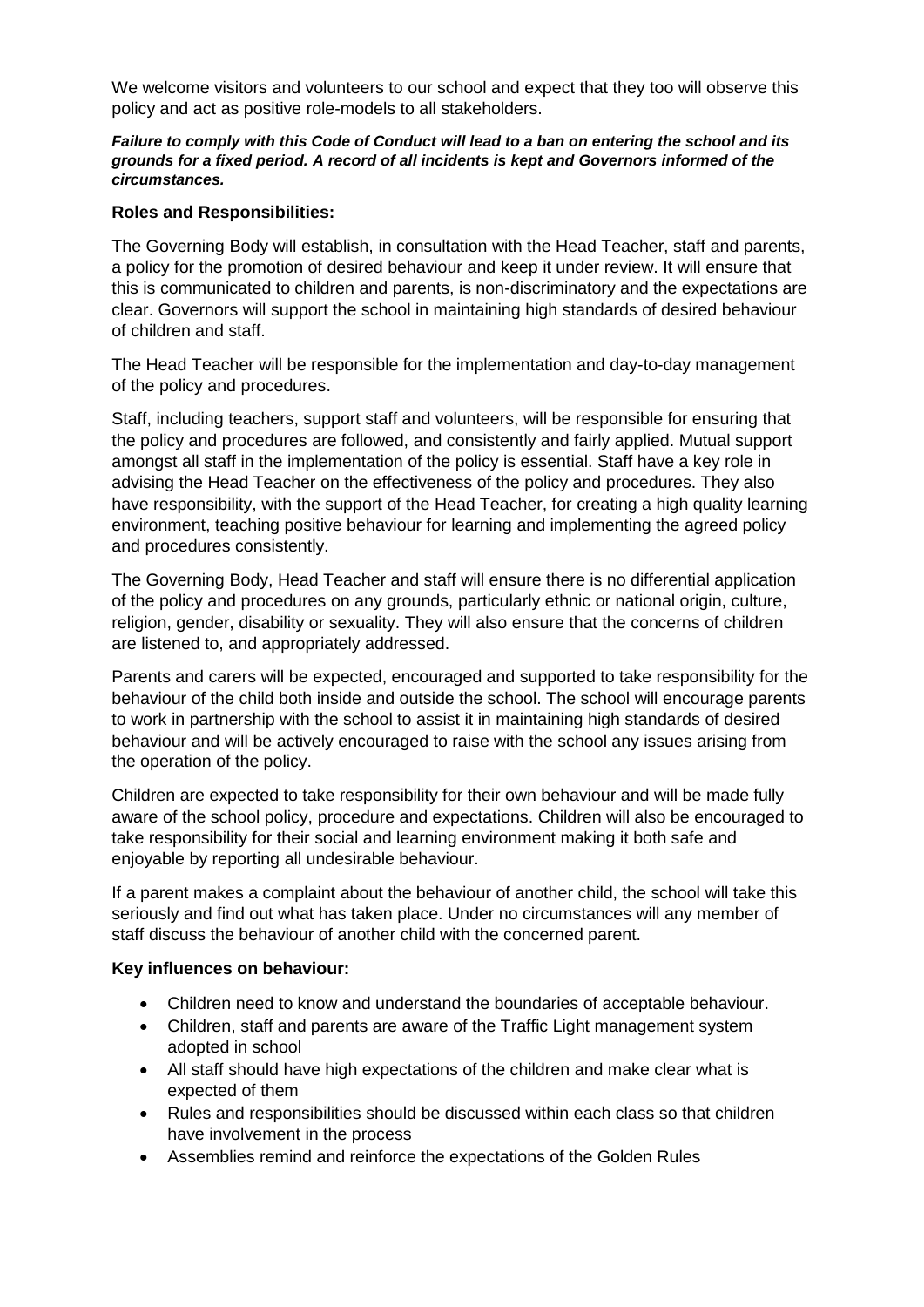We welcome visitors and volunteers to our school and expect that they too will observe this policy and act as positive role-models to all stakeholders.

#### *Failure to comply with this Code of Conduct will lead to a ban on entering the school and its grounds for a fixed period. A record of all incidents is kept and Governors informed of the circumstances.*

#### **Roles and Responsibilities:**

The Governing Body will establish, in consultation with the Head Teacher, staff and parents, a policy for the promotion of desired behaviour and keep it under review. It will ensure that this is communicated to children and parents, is non-discriminatory and the expectations are clear. Governors will support the school in maintaining high standards of desired behaviour of children and staff.

The Head Teacher will be responsible for the implementation and day-to-day management of the policy and procedures.

Staff, including teachers, support staff and volunteers, will be responsible for ensuring that the policy and procedures are followed, and consistently and fairly applied. Mutual support amongst all staff in the implementation of the policy is essential. Staff have a key role in advising the Head Teacher on the effectiveness of the policy and procedures. They also have responsibility, with the support of the Head Teacher, for creating a high quality learning environment, teaching positive behaviour for learning and implementing the agreed policy and procedures consistently.

The Governing Body, Head Teacher and staff will ensure there is no differential application of the policy and procedures on any grounds, particularly ethnic or national origin, culture, religion, gender, disability or sexuality. They will also ensure that the concerns of children are listened to, and appropriately addressed.

Parents and carers will be expected, encouraged and supported to take responsibility for the behaviour of the child both inside and outside the school. The school will encourage parents to work in partnership with the school to assist it in maintaining high standards of desired behaviour and will be actively encouraged to raise with the school any issues arising from the operation of the policy.

Children are expected to take responsibility for their own behaviour and will be made fully aware of the school policy, procedure and expectations. Children will also be encouraged to take responsibility for their social and learning environment making it both safe and enjoyable by reporting all undesirable behaviour.

If a parent makes a complaint about the behaviour of another child, the school will take this seriously and find out what has taken place. Under no circumstances will any member of staff discuss the behaviour of another child with the concerned parent.

#### **Key influences on behaviour:**

- Children need to know and understand the boundaries of acceptable behaviour.
- Children, staff and parents are aware of the Traffic Light management system adopted in school
- All staff should have high expectations of the children and make clear what is expected of them
- Rules and responsibilities should be discussed within each class so that children have involvement in the process
- Assemblies remind and reinforce the expectations of the Golden Rules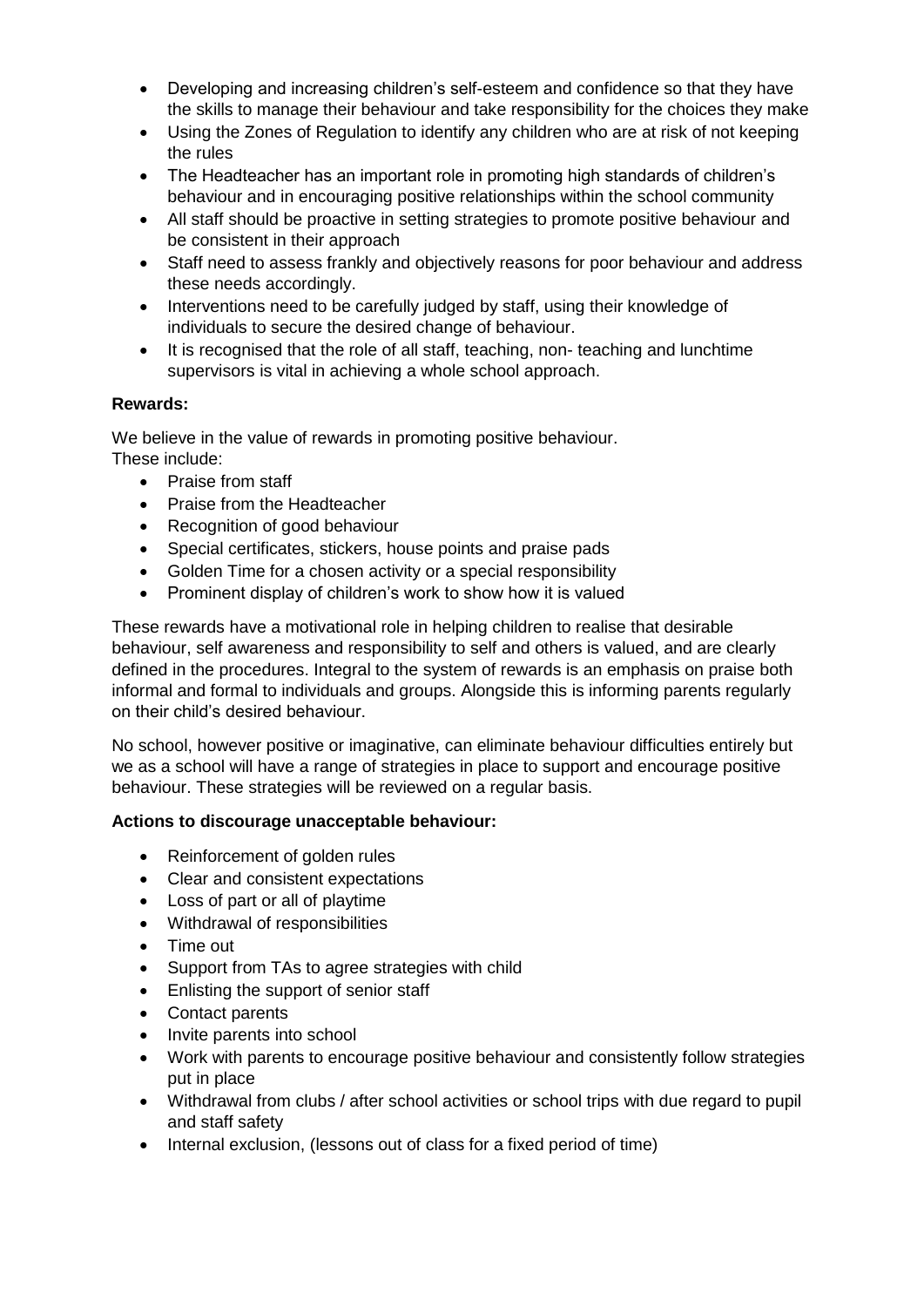- Developing and increasing children's self-esteem and confidence so that they have the skills to manage their behaviour and take responsibility for the choices they make
- Using the Zones of Regulation to identify any children who are at risk of not keeping the rules
- The Headteacher has an important role in promoting high standards of children's behaviour and in encouraging positive relationships within the school community
- All staff should be proactive in setting strategies to promote positive behaviour and be consistent in their approach
- Staff need to assess frankly and objectively reasons for poor behaviour and address these needs accordingly.
- Interventions need to be carefully judged by staff, using their knowledge of individuals to secure the desired change of behaviour.
- It is recognised that the role of all staff, teaching, non- teaching and lunchtime supervisors is vital in achieving a whole school approach.

## **Rewards:**

We believe in the value of rewards in promoting positive behaviour. These include:

- Praise from staff
- Praise from the Headteacher
- Recognition of good behaviour
- Special certificates, stickers, house points and praise pads
- Golden Time for a chosen activity or a special responsibility
- Prominent display of children's work to show how it is valued

These rewards have a motivational role in helping children to realise that desirable behaviour, self awareness and responsibility to self and others is valued, and are clearly defined in the procedures. Integral to the system of rewards is an emphasis on praise both informal and formal to individuals and groups. Alongside this is informing parents regularly on their child's desired behaviour.

No school, however positive or imaginative, can eliminate behaviour difficulties entirely but we as a school will have a range of strategies in place to support and encourage positive behaviour. These strategies will be reviewed on a regular basis.

## **Actions to discourage unacceptable behaviour:**

- Reinforcement of golden rules
- Clear and consistent expectations
- Loss of part or all of playtime
- Withdrawal of responsibilities
- Time out
- Support from TAs to agree strategies with child
- Enlisting the support of senior staff
- Contact parents
- Invite parents into school
- Work with parents to encourage positive behaviour and consistently follow strategies put in place
- Withdrawal from clubs / after school activities or school trips with due regard to pupil and staff safety
- Internal exclusion, (lessons out of class for a fixed period of time)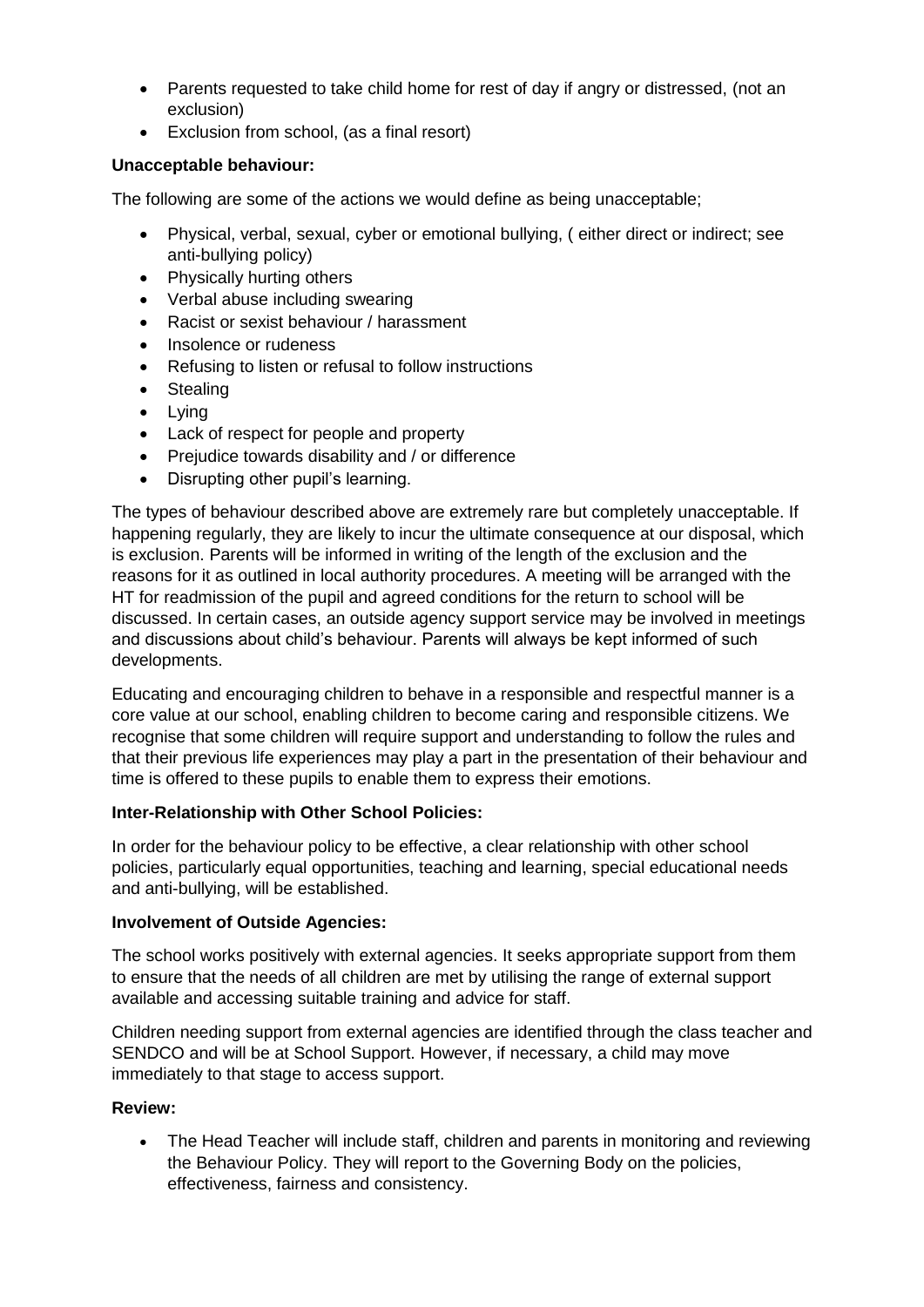- Parents requested to take child home for rest of day if angry or distressed, (not an exclusion)
- Exclusion from school, (as a final resort)

## **Unacceptable behaviour:**

The following are some of the actions we would define as being unacceptable;

- Physical, verbal, sexual, cyber or emotional bullying, (either direct or indirect; see anti-bullying policy)
- Physically hurting others
- Verbal abuse including swearing
- Racist or sexist behaviour / harassment
- Insolence or rudeness
- Refusing to listen or refusal to follow instructions
- Stealing
- Lying
- Lack of respect for people and property
- Prejudice towards disability and / or difference
- Disrupting other pupil's learning.

The types of behaviour described above are extremely rare but completely unacceptable. If happening regularly, they are likely to incur the ultimate consequence at our disposal, which is exclusion. Parents will be informed in writing of the length of the exclusion and the reasons for it as outlined in local authority procedures. A meeting will be arranged with the HT for readmission of the pupil and agreed conditions for the return to school will be discussed. In certain cases, an outside agency support service may be involved in meetings and discussions about child's behaviour. Parents will always be kept informed of such developments.

Educating and encouraging children to behave in a responsible and respectful manner is a core value at our school, enabling children to become caring and responsible citizens. We recognise that some children will require support and understanding to follow the rules and that their previous life experiences may play a part in the presentation of their behaviour and time is offered to these pupils to enable them to express their emotions.

#### **Inter-Relationship with Other School Policies:**

In order for the behaviour policy to be effective, a clear relationship with other school policies, particularly equal opportunities, teaching and learning, special educational needs and anti-bullying, will be established.

#### **Involvement of Outside Agencies:**

The school works positively with external agencies. It seeks appropriate support from them to ensure that the needs of all children are met by utilising the range of external support available and accessing suitable training and advice for staff.

Children needing support from external agencies are identified through the class teacher and SENDCO and will be at School Support. However, if necessary, a child may move immediately to that stage to access support.

## **Review:**

• The Head Teacher will include staff, children and parents in monitoring and reviewing the Behaviour Policy. They will report to the Governing Body on the policies, effectiveness, fairness and consistency.